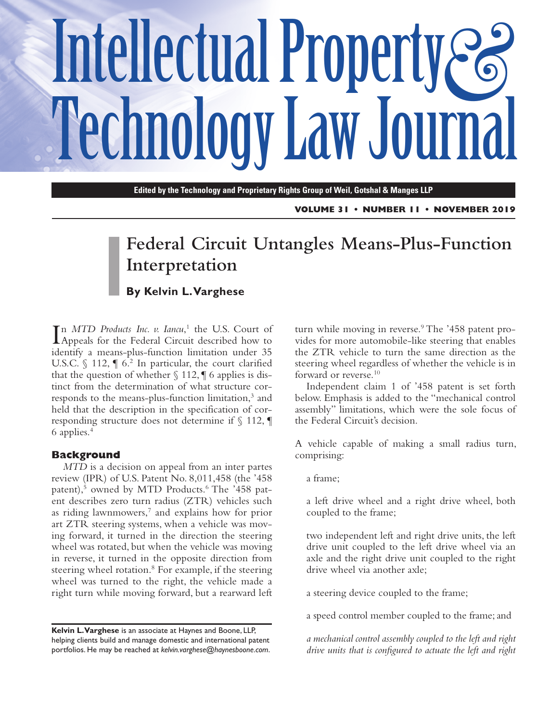# Intellectual Property **Technology Law Journal**

**Edited by the Technology and Proprietary Rights Group of Weil, Gotshal & Manges LLP**

**VOLUME 31 • NUMBER 11 • NOVEMBER 2019**

# **Federal Circuit Untangles Means-Plus-Function Interpretation**

# **By Kelvin L. Varghese**

In MTD Products Inc. v. Iancu,<sup>1</sup> the U.S. Court of<br>Appeals for the Federal Circuit described how to n *MTD Products Inc. v. Iancu*, 1 the U.S. Court of identify a means-plus-function limitation under 35 U.S.C.  $\int$  112,  $\P$  6.<sup>2</sup> In particular, the court clarified that the question of whether  $\S$  112,  $\P$  6 applies is distinct from the determination of what structure corresponds to the means-plus-function limitation,<sup>3</sup> and held that the description in the specification of corresponding structure does not determine if § 112, ¶ 6 applies.4

#### **Background**

*MTD* is a decision on appeal from an inter partes review (IPR) of U.S. Patent No. 8,011,458 (the '458 patent),<sup>5</sup> owned by MTD Products.<sup>6</sup> The '458 patent describes zero turn radius (ZTR) vehicles such as riding lawnmowers,<sup>7</sup> and explains how for prior art ZTR steering systems, when a vehicle was moving forward, it turned in the direction the steering wheel was rotated, but when the vehicle was moving in reverse, it turned in the opposite direction from steering wheel rotation.<sup>8</sup> For example, if the steering wheel was turned to the right, the vehicle made a right turn while moving forward, but a rearward left

turn while moving in reverse.<sup>9</sup> The '458 patent provides for more automobile-like steering that enables the ZTR vehicle to turn the same direction as the steering wheel regardless of whether the vehicle is in forward or reverse.<sup>10</sup>

Independent claim 1 of '458 patent is set forth below. Emphasis is added to the "mechanical control assembly" limitations, which were the sole focus of the Federal Circuit's decision.

A vehicle capable of making a small radius turn, comprising:

a frame;

a left drive wheel and a right drive wheel, both coupled to the frame;

two independent left and right drive units, the left drive unit coupled to the left drive wheel via an axle and the right drive unit coupled to the right drive wheel via another axle;

a steering device coupled to the frame;

a speed control member coupled to the frame; and

*a mechanical control assembly coupled to the left and right drive units that is configured to actuate the left and right* 

**Kelvin L. Varghese** is an associate at Haynes and Boone, LLP, helping clients build and manage domestic and international patent portfolios. He may be reached at *kelvin.varghese@haynesboone.com*.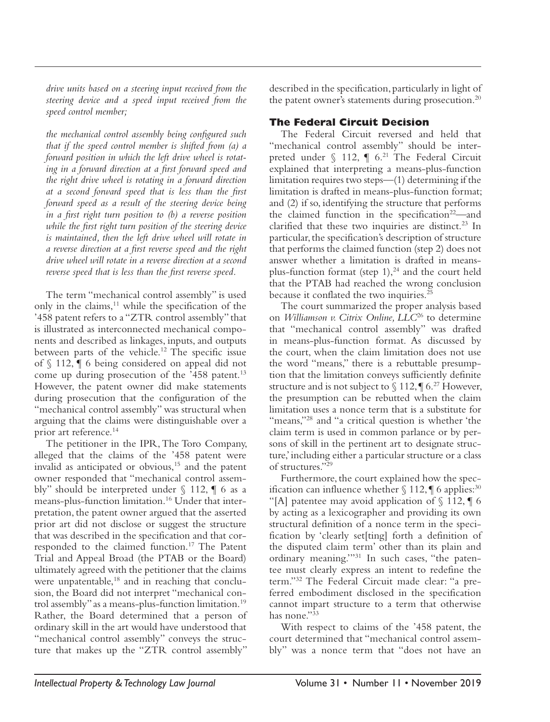*drive units based on a steering input received from the steering device and a speed input received from the speed control member;*

*the mechanical control assembly being configured such that if the speed control member is shifted from (a) a forward position in which the left drive wheel is rotating in a forward direction at a first forward speed and the right drive wheel is rotating in a forward direction at a second forward speed that is less than the first forward speed as a result of the steering device being in a first right turn position to (b) a reverse position while the first right turn position of the steering device is maintained, then the left drive wheel will rotate in a reverse direction at a first reverse speed and the right drive wheel will rotate in a reverse direction at a second reverse speed that is less than the first reverse speed.*

The term "mechanical control assembly" is used only in the claims, $11$  while the specification of the '458 patent refers to a "ZTR control assembly" that is illustrated as interconnected mechanical components and described as linkages, inputs, and outputs between parts of the vehicle.<sup>12</sup> The specific issue of § 112, ¶ 6 being considered on appeal did not come up during prosecution of the  $458$  patent.<sup>13</sup> However, the patent owner did make statements during prosecution that the configuration of the "mechanical control assembly" was structural when arguing that the claims were distinguishable over a prior art reference.14

The petitioner in the IPR, The Toro Company, alleged that the claims of the '458 patent were invalid as anticipated or obvious,<sup>15</sup> and the patent owner responded that "mechanical control assembly" should be interpreted under  $\S$  112,  $\P$  6 as a means-plus-function limitation.<sup>16</sup> Under that interpretation, the patent owner argued that the asserted prior art did not disclose or suggest the structure that was described in the specification and that corresponded to the claimed function.17 The Patent Trial and Appeal Broad (the PTAB or the Board) ultimately agreed with the petitioner that the claims were unpatentable,<sup>18</sup> and in reaching that conclusion, the Board did not interpret "mechanical control assembly" as a means-plus-function limitation.19 Rather, the Board determined that a person of ordinary skill in the art would have understood that "mechanical control assembly" conveys the structure that makes up the "ZTR control assembly"

described in the specification, particularly in light of the patent owner's statements during prosecution. $20$ 

# **The Federal Circuit Decision**

The Federal Circuit reversed and held that "mechanical control assembly" should be interpreted under  $\S$  112,  $\P$  6.<sup>21</sup> The Federal Circuit explained that interpreting a means-plus-function limitation requires two steps—(1) determining if the limitation is drafted in means-plus-function format; and (2) if so, identifying the structure that performs the claimed function in the specification<sup>22</sup>—and clarified that these two inquiries are distinct.<sup>23</sup> In particular, the specification's description of structure that performs the claimed function (step 2) does not answer whether a limitation is drafted in meansplus-function format (step  $1$ ),<sup>24</sup> and the court held that the PTAB had reached the wrong conclusion because it conflated the two inquiries.<sup>25</sup>

The court summarized the proper analysis based on *Williamson v. Citrix Online, LLC*26 to determine that "mechanical control assembly" was drafted in means-plus-function format. As discussed by the court, when the claim limitation does not use the word "means," there is a rebuttable presumption that the limitation conveys sufficiently definite structure and is not subject to  $\S 112$ ,  $\P 6.^{27}$  However, the presumption can be rebutted when the claim limitation uses a nonce term that is a substitute for "means,"<sup>28</sup> and "a critical question is whether 'the claim term is used in common parlance or by persons of skill in the pertinent art to designate structure,' including either a particular structure or a class of structures."29

Furthermore, the court explained how the specification can influence whether  $\S 112$ ,  $\P 6$  applies:<sup>30</sup> "[A] patentee may avoid application of  $\S$  112,  $\P$  6 by acting as a lexicographer and providing its own structural definition of a nonce term in the specification by 'clearly set[ting] forth a definition of the disputed claim term' other than its plain and ordinary meaning.'"31 In such cases, "the patentee must clearly express an intent to redefine the term."32 The Federal Circuit made clear: "a preferred embodiment disclosed in the specification cannot impart structure to a term that otherwise has none."<sup>33</sup>

With respect to claims of the '458 patent, the court determined that "mechanical control assembly" was a nonce term that "does not have an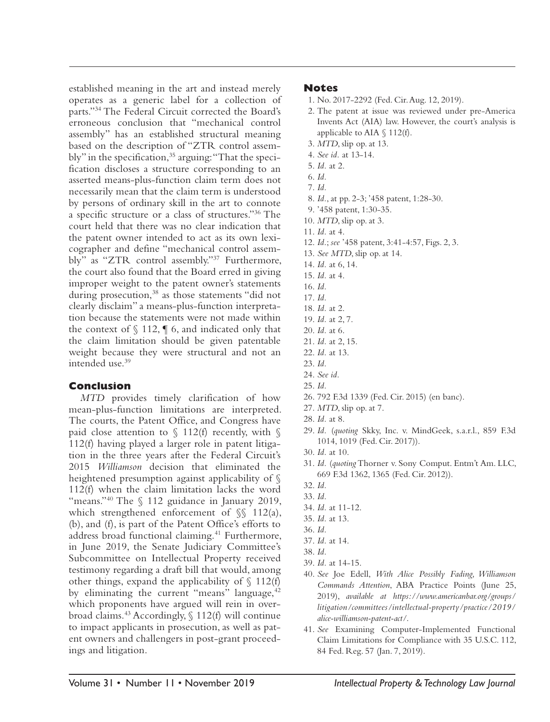established meaning in the art and instead merely operates as a generic label for a collection of parts."34 The Federal Circuit corrected the Board's erroneous conclusion that "mechanical control assembly" has an established structural meaning based on the description of "ZTR control assembly" in the specification, $35$  arguing: "That the specification discloses a structure corresponding to an asserted means-plus-function claim term does not necessarily mean that the claim term is understood by persons of ordinary skill in the art to connote a specific structure or a class of structures."36 The court held that there was no clear indication that the patent owner intended to act as its own lexicographer and define "mechanical control assembly" as "ZTR control assembly."37 Furthermore, the court also found that the Board erred in giving improper weight to the patent owner's statements during prosecution,<sup>38</sup> as those statements "did not clearly disclaim" a means-plus-function interpretation because the statements were not made within the context of  $\S$  112,  $\P$  6, and indicated only that the claim limitation should be given patentable weight because they were structural and not an intended use.39

# **Conclusion**

*MTD* provides timely clarification of how mean-plus-function limitations are interpreted. The courts, the Patent Office, and Congress have paid close attention to  $\int$  112(f) recently, with  $\int$ 112(f) having played a larger role in patent litigation in the three years after the Federal Circuit's 2015 *Williamson* decision that eliminated the heightened presumption against applicability of § 112(f) when the claim limitation lacks the word "means."<sup>40</sup> The § 112 guidance in January 2019, which strengthened enforcement of  $\S$  112(a), (b), and (f), is part of the Patent Office's efforts to address broad functional claiming.<sup>41</sup> Furthermore, in June 2019, the Senate Judiciary Committee's Subcommittee on Intellectual Property received testimony regarding a draft bill that would, among other things, expand the applicability of  $\S$  112(f) by eliminating the current "means" language, $42$ which proponents have argued will rein in overbroad claims.43 Accordingly, § 112(f) will continue to impact applicants in prosecution, as well as patent owners and challengers in post-grant proceedings and litigation.

### **Notes**

- 1. No. 2017-2292 (Fed. Cir. Aug. 12, 2019).
- 2. The patent at issue was reviewed under pre-America Invents Act (AIA) law. However, the court's analysis is applicable to AIA  $\Diamond$  112(f).
- 3. *MTD*, slip op. at 13.
- 4. *See id.* at 13-14.
- 5. *Id.* at 2.
- 6. *Id.*
- 7. *Id.*
- 8. *Id.*, at pp. 2-3; '458 patent, 1:28-30.
- 9. '458 patent, 1:30-35.
- 10. *MTD*, slip op. at 3.
- 11. *Id.* at 4.
- 12. *Id.*; *see* '458 patent, 3:41-4:57, Figs. 2, 3.
- 13. *See MTD*, slip op. at 14.
- 14. *Id.* at 6, 14.
- 15. *Id.* at 4.
- 16. *Id.*
- 17. *Id.*
- 18. *Id.* at 2.
- 19. *Id.* at 2, 7. 20. *Id.* at 6.
- 21. *Id.* at 2, 15.
- 22. *Id.* at 13.
- 23. *Id.*
- 24. *See id.*
- 25. *Id.*
- 26. 792 F.3d 1339 (Fed. Cir. 2015) (en banc).
- 27. *MTD*, slip op. at 7.
- 28. *Id.* at 8.
- 29. *Id.* (*quoting* Skky, Inc. v. MindGeek, s.a.r.l., 859 F.3d 1014, 1019 (Fed. Cir. 2017)).
- 30. *Id.* at 10.
- 31. *Id.* (*quoting* Thorner v. Sony Comput. Entm't Am. LLC, 669 F.3d 1362, 1365 (Fed. Cir. 2012)).
- 32. *Id.*
- 33. *Id.*
- 34. *Id.* at 11-12.
- 35. *Id.* at 13.
- 36. *Id.*
- 37. *Id.* at 14.
- 38. *Id.*
- 39. *Id.* at 14-15.
- 40. *See* Joe Edell, *With Alice Possibly Fading, Williamson Commands Attention*, ABA Practice Points (June 25, 2019), *available at https://www.americanbar.org/groups/ litigation/committees/intellectual-property/practice/2019/ alice-williamson-patent-act/*.
- 41. *See* Examining Computer-Implemented Functional Claim Limitations for Compliance with 35 U.S.C. 112, 84 Fed. Reg. 57 (Jan. 7, 2019).